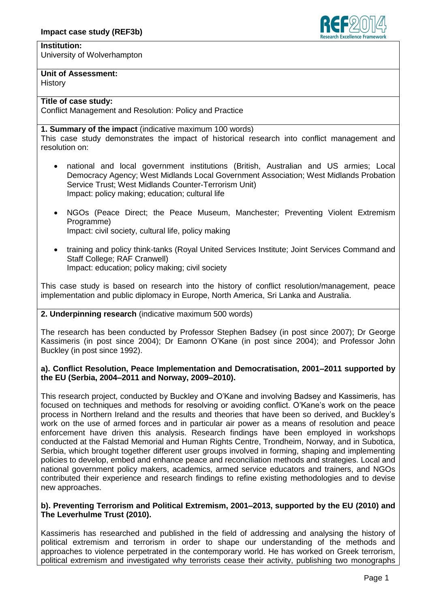

# **Institution:**

University of Wolverhampton

### **Unit of Assessment:**

**History** 

## **Title of case study:**

Conflict Management and Resolution: Policy and Practice

### **1. Summary of the impact** (indicative maximum 100 words)

This case study demonstrates the impact of historical research into conflict management and resolution on:

- national and local government institutions (British, Australian and US armies; Local Democracy Agency; West Midlands Local Government Association; West Midlands Probation Service Trust; West Midlands Counter-Terrorism Unit) Impact: policy making; education; cultural life
- NGOs (Peace Direct; the Peace Museum, Manchester; Preventing Violent Extremism Programme) Impact: civil society, cultural life, policy making
- training and policy think-tanks (Royal United Services Institute; Joint Services Command and Staff College; RAF Cranwell) Impact: education; policy making; civil society

This case study is based on research into the history of conflict resolution/management, peace implementation and public diplomacy in Europe, North America, Sri Lanka and Australia.

#### **2. Underpinning research** (indicative maximum 500 words)

The research has been conducted by Professor Stephen Badsey (in post since 2007); Dr George Kassimeris (in post since 2004); Dr Eamonn O'Kane (in post since 2004); and Professor John Buckley (in post since 1992).

#### **a). Conflict Resolution, Peace Implementation and Democratisation, 2001–2011 supported by the EU (Serbia, 2004–2011 and Norway, 2009–2010).**

This research project, conducted by Buckley and O'Kane and involving Badsey and Kassimeris, has focused on techniques and methods for resolving or avoiding conflict. O'Kane's work on the peace process in Northern Ireland and the results and theories that have been so derived, and Buckley's work on the use of armed forces and in particular air power as a means of resolution and peace enforcement have driven this analysis. Research findings have been employed in workshops conducted at the Falstad Memorial and Human Rights Centre, Trondheim, Norway, and in Subotica, Serbia, which brought together different user groups involved in forming, shaping and implementing policies to develop, embed and enhance peace and reconciliation methods and strategies. Local and national government policy makers, academics, armed service educators and trainers, and NGOs contributed their experience and research findings to refine existing methodologies and to devise new approaches.

#### **b). Preventing Terrorism and Political Extremism, 2001–2013, supported by the EU (2010) and The Leverhulme Trust (2010).**

Kassimeris has researched and published in the field of addressing and analysing the history of political extremism and terrorism in order to shape our understanding of the methods and approaches to violence perpetrated in the contemporary world. He has worked on Greek terrorism, political extremism and investigated why terrorists cease their activity, publishing two monographs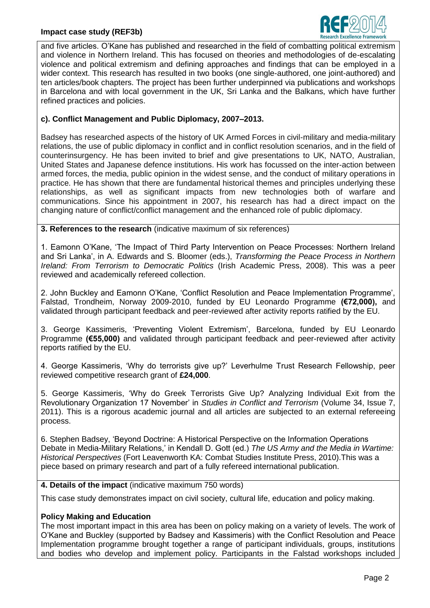#### **Impact case study (REF3b)**



and five articles. O'Kane has published and researched in the field of combatting political extremism and violence in Northern Ireland. This has focused on theories and methodologies of de-escalating violence and political extremism and defining approaches and findings that can be employed in a wider context. This research has resulted in two books (one single-authored, one joint-authored) and ten articles/book chapters. The project has been further underpinned via publications and workshops in Barcelona and with local government in the UK, Sri Lanka and the Balkans, which have further refined practices and policies.

### **c). Conflict Management and Public Diplomacy, 2007–2013.**

Badsey has researched aspects of the history of UK Armed Forces in civil-military and media-military relations, the use of public diplomacy in conflict and in conflict resolution scenarios, and in the field of counterinsurgency. He has been invited to brief and give presentations to UK, NATO, Australian, United States and Japanese defence institutions. His work has focussed on the inter-action between armed forces, the media, public opinion in the widest sense, and the conduct of military operations in practice. He has shown that there are fundamental historical themes and principles underlying these relationships, as well as significant impacts from new technologies both of warfare and communications. Since his appointment in 2007, his research has had a direct impact on the changing nature of conflict/conflict management and the enhanced role of public diplomacy.

**3. References to the research** (indicative maximum of six references)

1. Eamonn O'Kane, 'The Impact of Third Party Intervention on Peace Processes: Northern Ireland and Sri Lanka', in A. Edwards and S. Bloomer (eds.), *Transforming the Peace Process in Northern Ireland: From Terrorism to Democratic Politics* (Irish Academic Press, 2008). This was a peer reviewed and academically refereed collection.

2. John Buckley and Eamonn O'Kane, 'Conflict Resolution and Peace Implementation Programme', Falstad, Trondheim, Norway 2009-2010, funded by EU Leonardo Programme **(€72,000),** and validated through participant feedback and peer-reviewed after activity reports ratified by the EU.

3. George Kassimeris, 'Preventing Violent Extremism', Barcelona, funded by EU Leonardo Programme **(€55,000)** and validated through participant feedback and peer-reviewed after activity reports ratified by the EU.

4. George Kassimeris, 'Why do terrorists give up?' Leverhulme Trust Research Fellowship, peer reviewed competitive research grant of **£24,000**.

5. George Kassimeris, 'Why do Greek Terrorists Give Up? Analyzing Individual Exit from the Revolutionary Organization 17 November' in *Studies in Conflict and Terrorism* (Volume 34, Issue 7, 2011). This is a rigorous academic journal and all articles are subjected to an external refereeing process.

6. Stephen Badsey, 'Beyond Doctrine: A Historical Perspective on the Information Operations Debate in Media-Military Relations,' in Kendall D. Gott (ed.) *The US Army and the Media in Wartime: Historical Perspectives* (Fort Leavenworth KA: Combat Studies Institute Press, 2010).This was a piece based on primary research and part of a fully refereed international publication.

#### **4. Details of the impact** (indicative maximum 750 words)

This case study demonstrates impact on civil society, cultural life, education and policy making.

#### **Policy Making and Education**

The most important impact in this area has been on policy making on a variety of levels. The work of O'Kane and Buckley (supported by Badsey and Kassimeris) with the Conflict Resolution and Peace Implementation programme brought together a range of participant individuals, groups, institutions and bodies who develop and implement policy. Participants in the Falstad workshops included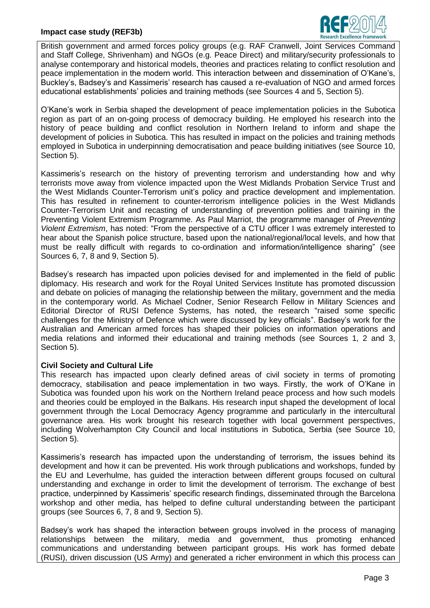

British government and armed forces policy groups (e.g. RAF Cranwell, Joint Services Command and Staff College, Shrivenham) and NGOs (e.g. Peace Direct) and military/security professionals to analyse contemporary and historical models, theories and practices relating to conflict resolution and peace implementation in the modern world. This interaction between and dissemination of O'Kane's, Buckley's, Badsey's and Kassimeris' research has caused a re-evaluation of NGO and armed forces educational establishments' policies and training methods (see Sources 4 and 5, Section 5).

O'Kane's work in Serbia shaped the development of peace implementation policies in the Subotica region as part of an on-going process of democracy building. He employed his research into the history of peace building and conflict resolution in Northern Ireland to inform and shape the development of policies in Subotica. This has resulted in impact on the policies and training methods employed in Subotica in underpinning democratisation and peace building initiatives (see Source 10, Section 5).

Kassimeris's research on the history of preventing terrorism and understanding how and why terrorists move away from violence impacted upon the West Midlands Probation Service Trust and the West Midlands Counter-Terrorism unit's policy and practice development and implementation. This has resulted in refinement to counter-terrorism intelligence policies in the West Midlands Counter-Terrorism Unit and recasting of understanding of prevention polities and training in the Preventing Violent Extremism Programme. As Paul Marriot, the programme manager of *Preventing Violent Extremism*, has noted: "From the perspective of a CTU officer I was extremely interested to hear about the Spanish police structure, based upon the national/regional/local levels, and how that must be really difficult with regards to co-ordination and information/intelligence sharing" (see Sources 6, 7, 8 and 9, Section 5).

Badsey's research has impacted upon policies devised for and implemented in the field of public diplomacy. His research and work for the Royal United Services Institute has promoted discussion and debate on policies of managing the relationship between the military, government and the media in the contemporary world. As Michael Codner, Senior Research Fellow in Military Sciences and Editorial Director of RUSI Defence Systems, has noted, the research "raised some specific challenges for the Ministry of Defence which were discussed by key officials". Badsey's work for the Australian and American armed forces has shaped their policies on information operations and media relations and informed their educational and training methods (see Sources 1, 2 and 3, Section 5).

#### **Civil Society and Cultural Life**

This research has impacted upon clearly defined areas of civil society in terms of promoting democracy, stabilisation and peace implementation in two ways. Firstly, the work of O'Kane in Subotica was founded upon his work on the Northern Ireland peace process and how such models and theories could be employed in the Balkans. His research input shaped the development of local government through the Local Democracy Agency programme and particularly in the intercultural governance area. His work brought his research together with local government perspectives, including Wolverhampton City Council and local institutions in Subotica, Serbia (see Source 10, Section 5).

Kassimeris's research has impacted upon the understanding of terrorism, the issues behind its development and how it can be prevented. His work through publications and workshops, funded by the EU and Leverhulme, has guided the interaction between different groups focused on cultural understanding and exchange in order to limit the development of terrorism. The exchange of best practice, underpinned by Kassimeris' specific research findings, disseminated through the Barcelona workshop and other media, has helped to define cultural understanding between the participant groups (see Sources 6, 7, 8 and 9, Section 5).

Badsey's work has shaped the interaction between groups involved in the process of managing relationships between the military, media and government, thus promoting enhanced communications and understanding between participant groups. His work has formed debate (RUSI), driven discussion (US Army) and generated a richer environment in which this process can